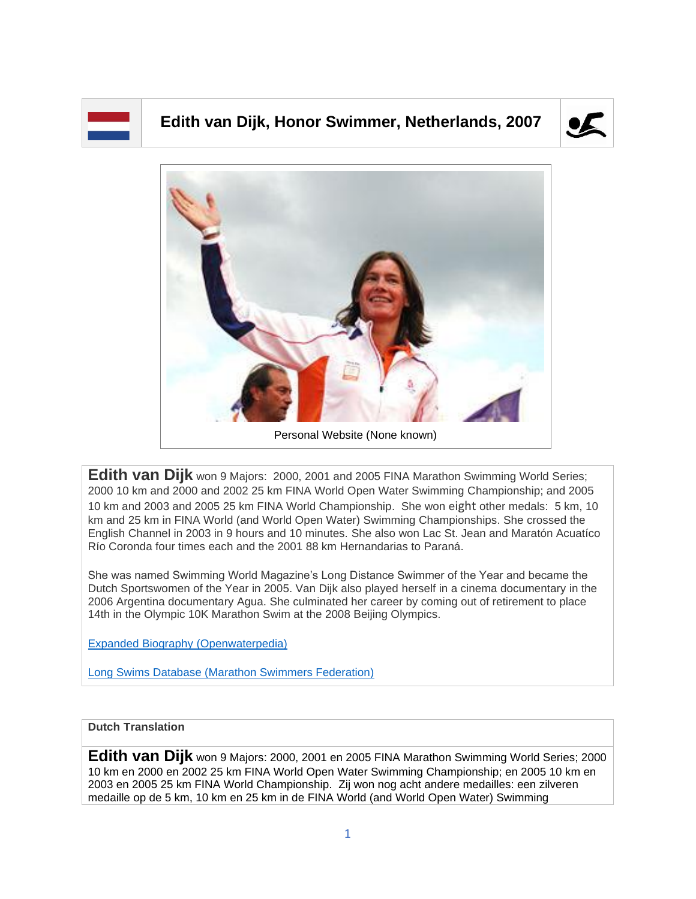## **Edith van Dijk, Honor Swimmer, Netherlands, 2007**





**Edith van Dijk** won 9 Majors: 2000, 2001 and 2005 FINA Marathon Swimming World Series; 2000 10 km and 2000 and 2002 25 km FINA World Open Water Swimming Championship; and 2005 10 km and 2003 and 2005 25 km FINA World Championship. She won eight other medals: 5 km, 10 km and 25 km in FINA World (and World Open Water) Swimming Championships. She crossed the English Channel in 2003 in 9 hours and 10 minutes. She also won Lac St. Jean and Maratón Acuatíco Río Coronda four times each and the 2001 88 km Hernandarias to Paraná.

She was named Swimming World Magazine's Long Distance Swimmer of the Year and became the Dutch Sportswomen of the Year in 2005. Van Dijk also played herself in a cinema documentary in the 2006 Argentina documentary Agua. She culminated her career by coming out of retirement to place 14th in the Olympic 10K Marathon Swim at the 2008 Beijing Olympics.

[Expanded Biography](https://www.openwaterpedia.com/index.php?title=Edith_van_Dijk) (Openwaterpedia)

Long Swims Database [\(Marathon Swimmers Federation\)](https://db.marathonswimmers.org/p/edith-van-dijk/)

## **Dutch Translation**

**Edith van Dijk** won 9 Majors: 2000, 2001 en 2005 FINA Marathon Swimming World Series; 2000 10 km en 2000 en 2002 25 km FINA World Open Water Swimming Championship; en 2005 10 km en 2003 en 2005 25 km FINA World Championship. Zij won nog acht andere medailles: een zilveren medaille op de 5 km, 10 km en 25 km in de FINA World (and World Open Water) Swimming